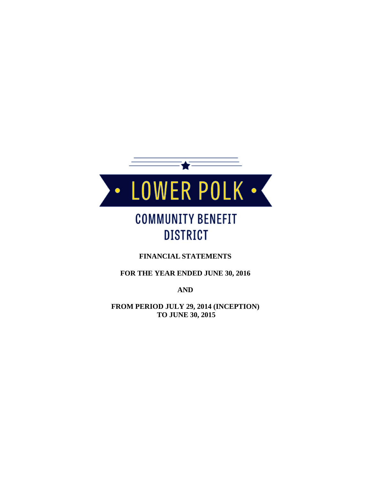

# **COMMUNITY BENEFIT DISTRICT**

# **FINANCIAL STATEMENTS**

**FOR THE YEAR ENDED JUNE 30, 2016** 

**AND** 

**FROM PERIOD JULY 29, 2014 (INCEPTION) TO JUNE 30, 2015**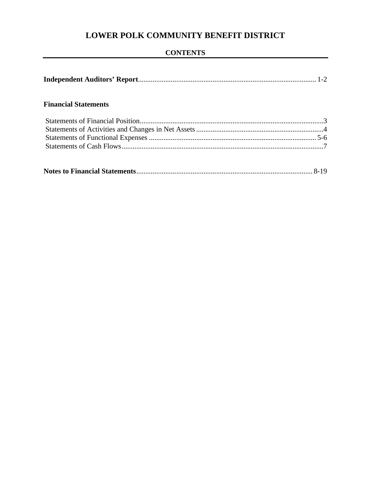# **CONTENTS**

|--|--|--|

# **Financial Statements**

|--|--|--|--|--|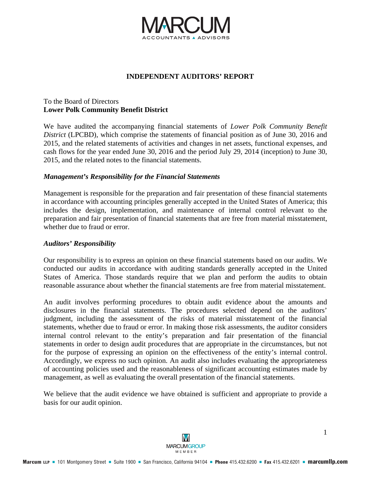

#### **INDEPENDENT AUDITORS' REPORT**

# To the Board of Directors **Lower Polk Community Benefit District**

We have audited the accompanying financial statements of *Lower Polk Community Benefit District* (LPCBD)*,* which comprise the statements of financial position as of June 30, 2016 and 2015, and the related statements of activities and changes in net assets, functional expenses, and cash flows for the year ended June 30, 2016 and the period July 29, 2014 (inception) to June 30, 2015, and the related notes to the financial statements.

#### *Management's Responsibility for the Financial Statements*

Management is responsible for the preparation and fair presentation of these financial statements in accordance with accounting principles generally accepted in the United States of America; this includes the design, implementation, and maintenance of internal control relevant to the preparation and fair presentation of financial statements that are free from material misstatement, whether due to fraud or error.

#### *Auditors' Responsibility*

Our responsibility is to express an opinion on these financial statements based on our audits. We conducted our audits in accordance with auditing standards generally accepted in the United States of America. Those standards require that we plan and perform the audits to obtain reasonable assurance about whether the financial statements are free from material misstatement.

An audit involves performing procedures to obtain audit evidence about the amounts and disclosures in the financial statements. The procedures selected depend on the auditors' judgment, including the assessment of the risks of material misstatement of the financial statements, whether due to fraud or error. In making those risk assessments, the auditor considers internal control relevant to the entity's preparation and fair presentation of the financial statements in order to design audit procedures that are appropriate in the circumstances, but not for the purpose of expressing an opinion on the effectiveness of the entity's internal control. Accordingly, we express no such opinion. An audit also includes evaluating the appropriateness of accounting policies used and the reasonableness of significant accounting estimates made by management, as well as evaluating the overall presentation of the financial statements.

We believe that the audit evidence we have obtained is sufficient and appropriate to provide a basis for our audit opinion.



1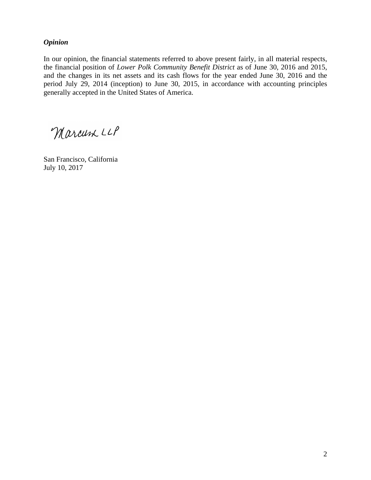# *Opinion*

In our opinion, the financial statements referred to above present fairly, in all material respects, the financial position of *Lower Polk Community Benefit District* as of June 30, 2016 and 2015, and the changes in its net assets and its cash flows for the year ended June 30, 2016 and the period July 29, 2014 (inception) to June 30, 2015, in accordance with accounting principles generally accepted in the United States of America.

Marcum LLP

San Francisco, California July 10, 2017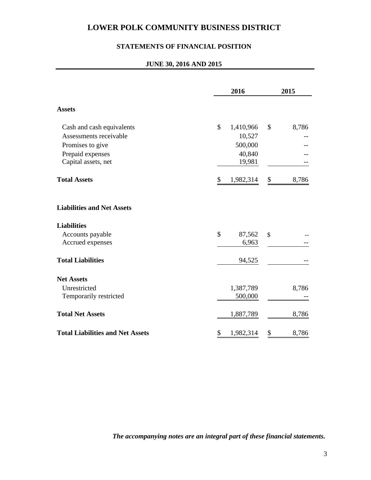# **STATEMENTS OF FINANCIAL POSITION**

# **JUNE 30, 2016 AND 2015**

|                                         | 2016            | 2015        |
|-----------------------------------------|-----------------|-------------|
| <b>Assets</b>                           |                 |             |
| Cash and cash equivalents               | \$<br>1,410,966 | \$<br>8,786 |
| Assessments receivable                  | 10,527          |             |
| Promises to give                        | 500,000         |             |
| Prepaid expenses                        | 40,840          |             |
| Capital assets, net                     | 19,981          |             |
| <b>Total Assets</b>                     | 1,982,314<br>\$ | \$<br>8,786 |
| <b>Liabilities and Net Assets</b>       |                 |             |
| <b>Liabilities</b>                      |                 |             |
| Accounts payable                        | \$<br>87,562    | \$          |
| Accrued expenses                        | 6,963           |             |
| <b>Total Liabilities</b>                | 94,525          |             |
| <b>Net Assets</b>                       |                 |             |
| Unrestricted                            | 1,387,789       | 8,786       |
| Temporarily restricted                  | 500,000         |             |
| <b>Total Net Assets</b>                 | 1,887,789       | 8,786       |
| <b>Total Liabilities and Net Assets</b> | 1,982,314<br>\$ | \$<br>8,786 |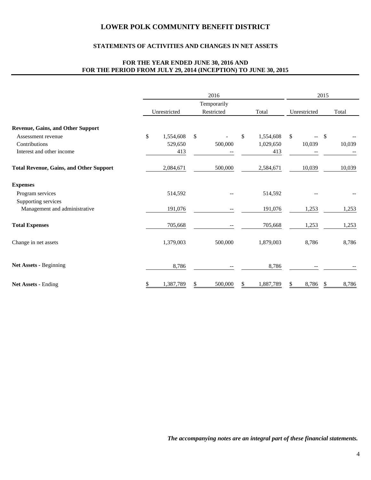#### **STATEMENTS OF ACTIVITIES AND CHANGES IN NET ASSETS**

#### **FOR THE PERIOD FROM JULY 29, 2014 (INCEPTION) TO JUNE 30, 2015 FOR THE YEAR ENDED JUNE 30, 2016 AND**

|                                                | 2016            |    |            |    |           |    |              |    | 2015   |  |  |  |  |
|------------------------------------------------|-----------------|----|------------|----|-----------|----|--------------|----|--------|--|--|--|--|
|                                                | Temporarily     |    |            |    |           |    |              |    |        |  |  |  |  |
|                                                | Unrestricted    |    | Restricted |    | Total     |    | Unrestricted |    | Total  |  |  |  |  |
| <b>Revenue, Gains, and Other Support</b>       |                 |    |            |    |           |    |              |    |        |  |  |  |  |
| Assessment revenue                             | \$<br>1,554,608 | \$ |            | \$ | 1,554,608 | \$ | $-$          | \$ |        |  |  |  |  |
| Contributions                                  | 529,650         |    | 500,000    |    | 1,029,650 |    | 10,039       |    | 10,039 |  |  |  |  |
| Interest and other income                      | 413             |    |            |    | 413       |    |              |    |        |  |  |  |  |
| <b>Total Revenue, Gains, and Other Support</b> | 2,084,671       |    | 500,000    |    | 2,584,671 |    | 10,039       |    | 10,039 |  |  |  |  |
| <b>Expenses</b>                                |                 |    |            |    |           |    |              |    |        |  |  |  |  |
| Program services                               | 514,592         |    |            |    | 514,592   |    |              |    |        |  |  |  |  |
| Supporting services                            |                 |    |            |    |           |    |              |    |        |  |  |  |  |
| Management and administrative                  | 191,076         |    |            |    | 191,076   |    | 1,253        |    | 1,253  |  |  |  |  |
| <b>Total Expenses</b>                          | 705,668         |    |            |    | 705,668   |    | 1,253        |    | 1,253  |  |  |  |  |
| Change in net assets                           | 1,379,003       |    | 500,000    |    | 1,879,003 |    | 8,786        |    | 8,786  |  |  |  |  |
| Net Assets - Beginning                         | 8,786           |    |            |    | 8,786     |    |              |    |        |  |  |  |  |
| Net Assets - Ending                            | \$<br>1,387,789 | \$ | 500,000    |    | 1,887,789 | \$ | 8,786        | \$ | 8,786  |  |  |  |  |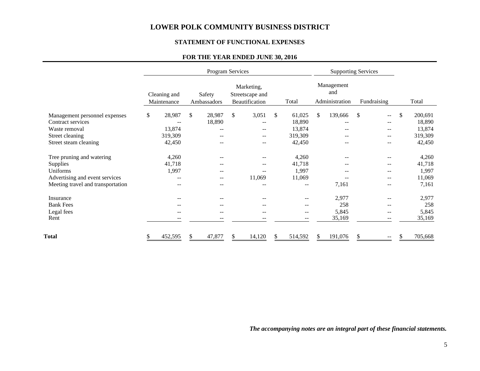#### **STATEMENT OF FUNCTIONAL EXPENSES**

## **FOR THE YEAR ENDED JUNE 30, 2016**

|                                   | <b>Program Services</b>     |    |                       |    |                                                 |    | <b>Supporting Services</b> |    |                                     |    |             |    |         |
|-----------------------------------|-----------------------------|----|-----------------------|----|-------------------------------------------------|----|----------------------------|----|-------------------------------------|----|-------------|----|---------|
|                                   | Cleaning and<br>Maintenance |    | Safety<br>Ambassadors |    | Marketing,<br>Streetscape and<br>Beautification |    | Total                      |    | Management<br>and<br>Administration |    | Fundraising |    | Total   |
| Management personnel expenses     | \$<br>28,987                | \$ | 28,987                | \$ | 3,051                                           | \$ | 61,025                     | \$ | 139,666                             | \$ | $-$         | \$ | 200,691 |
| Contract services                 |                             |    | 18,890                |    | --                                              |    | 18,890                     |    | --                                  |    |             |    | 18,890  |
| Waste removal                     | 13,874                      |    | $-$                   |    | --                                              |    | 13,874                     |    | --                                  |    | --          |    | 13,874  |
| Street cleaning                   | 319,309                     |    | $-$                   |    | --                                              |    | 319,309                    |    |                                     |    | $-$         |    | 319,309 |
| Street steam cleaning             | 42,450                      |    | $-$                   |    | --                                              |    | 42,450                     |    | --                                  |    | $-$         |    | 42,450  |
| Tree pruning and watering         | 4,260                       |    |                       |    |                                                 |    | 4,260                      |    |                                     |    |             |    | 4,260   |
| <b>Supplies</b>                   | 41,718                      |    | --                    |    | $- -$                                           |    | 41,718                     |    |                                     |    | --          |    | 41,718  |
| Uniforms                          | 1,997                       |    |                       |    | --                                              |    | 1,997                      |    |                                     |    |             |    | 1,997   |
| Advertising and event services    |                             |    | $\qquad \qquad -$     |    | 11,069                                          |    | 11,069                     |    |                                     |    | --          |    | 11,069  |
| Meeting travel and transportation |                             |    | --                    |    | --                                              |    | --                         |    | 7,161                               |    |             |    | 7,161   |
| Insurance                         |                             |    | --                    |    | $ -$                                            |    | --                         |    | 2,977                               |    |             |    | 2,977   |
| <b>Bank Fees</b>                  |                             |    | $\qquad \qquad -$     |    | --                                              |    | --                         |    | 258                                 |    | --          |    | 258     |
| Legal fees                        | --                          |    | $-$                   |    | $- -$                                           |    | $\overline{\phantom{m}}$   |    | 5,845                               |    | --          |    | 5,845   |
| Rent                              |                             |    | $-\,-$                |    | --                                              |    | $-\, -$                    |    | 35,169                              |    |             |    | 35,169  |
| <b>Total</b>                      | 452,595                     | \$ | 47,877                | S. | 14,120                                          | S. | 514,592                    | \$ | 191,076                             | S  |             | S  | 705,668 |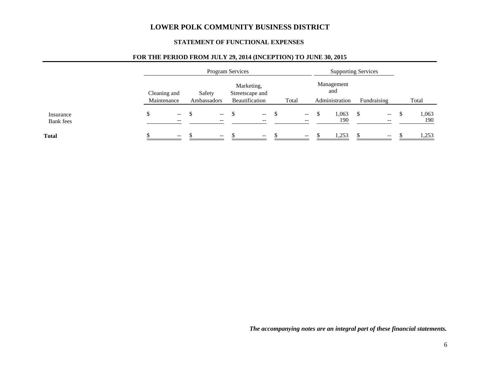#### **STATEMENT OF FUNCTIONAL EXPENSES**

# **FOR THE PERIOD FROM JULY 29, 2014 (INCEPTION) TO JUNE 30, 2015**

|                        |                             |            | Program Services      |         |                                                 |           |  |                                                     | <b>Supporting Services</b> |                                     |    |             |  |             |
|------------------------|-----------------------------|------------|-----------------------|---------|-------------------------------------------------|-----------|--|-----------------------------------------------------|----------------------------|-------------------------------------|----|-------------|--|-------------|
|                        | Cleaning and<br>Maintenance |            | Safety<br>Ambassadors |         | Marketing,<br>Streetscape and<br>Beautification |           |  | Total                                               |                            | Management<br>and<br>Administration |    | Fundraising |  | Total       |
| Insurance<br>Bank fees |                             | $--$<br>-- |                       | $- -$ . |                                                 | $-  \sim$ |  |                                                     | $--$                       | 1,063<br>190                        | -S | $--$        |  | ,063<br>190 |
| <b>Total</b>           |                             | $- -$      |                       | $- -$   |                                                 | $- -$     |  | $\hspace{0.05cm} -\hspace{0.05cm} -\hspace{0.05cm}$ |                            | 1,253                               |    | $- -$       |  | 1,253       |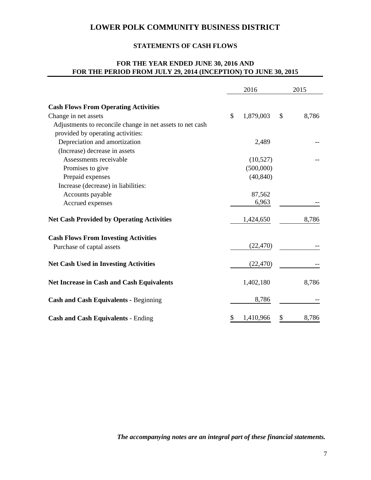#### **STATEMENTS OF CASH FLOWS**

# **FOR THE PERIOD FROM JULY 29, 2014 (INCEPTION) TO JUNE 30, 2015 FOR THE YEAR ENDED JUNE 30, 2016 AND**

|                                                           | 2016            |               | 2015  |
|-----------------------------------------------------------|-----------------|---------------|-------|
| <b>Cash Flows From Operating Activities</b>               |                 |               |       |
| Change in net assets                                      | \$<br>1,879,003 | $\mathcal{S}$ | 8,786 |
| Adjustments to reconcile change in net assets to net cash |                 |               |       |
| provided by operating activities:                         |                 |               |       |
| Depreciation and amortization                             | 2,489           |               |       |
| (Increase) decrease in assets                             |                 |               |       |
| Assessments receivable                                    | (10,527)        |               |       |
| Promises to give                                          | (500,000)       |               |       |
| Prepaid expenses                                          | (40, 840)       |               |       |
| Increase (decrease) in liabilities:                       |                 |               |       |
| Accounts payable                                          | 87,562          |               |       |
| Accrued expenses                                          | 6,963           |               |       |
| <b>Net Cash Provided by Operating Activities</b>          | 1,424,650       |               | 8,786 |
| <b>Cash Flows From Investing Activities</b>               |                 |               |       |
| Purchase of captal assets                                 | (22, 470)       |               |       |
| <b>Net Cash Used in Investing Activities</b>              | (22, 470)       |               |       |
| <b>Net Increase in Cash and Cash Equivalents</b>          | 1,402,180       |               | 8,786 |
| <b>Cash and Cash Equivalents - Beginning</b>              | 8,786           |               |       |
| <b>Cash and Cash Equivalents - Ending</b>                 | \$<br>1,410,966 | \$            | 8,786 |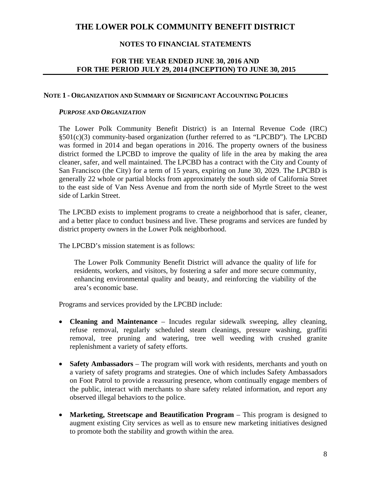## **NOTES TO FINANCIAL STATEMENTS**

## **FOR THE YEAR ENDED JUNE 30, 2016 AND FOR THE PERIOD JULY 29, 2014 (INCEPTION) TO JUNE 30, 2015**

#### **NOTE 1 - ORGANIZATION AND SUMMARY OF SIGNIFICANT ACCOUNTING POLICIES**

#### *PURPOSE AND ORGANIZATION*

The Lower Polk Community Benefit District) is an Internal Revenue Code (IRC) §501(c)(3) community-based organization (further referred to as "LPCBD"). The LPCBD was formed in 2014 and began operations in 2016. The property owners of the business district formed the LPCBD to improve the quality of life in the area by making the area cleaner, safer, and well maintained. The LPCBD has a contract with the City and County of San Francisco (the City) for a term of 15 years, expiring on June 30, 2029. The LPCBD is generally 22 whole or partial blocks from approximately the south side of California Street to the east side of Van Ness Avenue and from the north side of Myrtle Street to the west side of Larkin Street.

The LPCBD exists to implement programs to create a neighborhood that is safer, cleaner, and a better place to conduct business and live. These programs and services are funded by district property owners in the Lower Polk neighborhood.

The LPCBD's mission statement is as follows:

The Lower Polk Community Benefit District will advance the quality of life for residents, workers, and visitors, by fostering a safer and more secure community, enhancing environmental quality and beauty, and reinforcing the viability of the area's economic base.

Programs and services provided by the LPCBD include:

- **Cleaning and Maintenance**  Incudes regular sidewalk sweeping, alley cleaning, refuse removal, regularly scheduled steam cleanings, pressure washing, graffiti removal, tree pruning and watering, tree well weeding with crushed granite replenishment a variety of safety efforts.
- **Safety Ambassadors** The program will work with residents, merchants and youth on a variety of safety programs and strategies. One of which includes Safety Ambassadors on Foot Patrol to provide a reassuring presence, whom continually engage members of the public, interact with merchants to share safety related information, and report any observed illegal behaviors to the police.
- **Marketing, Streetscape and Beautification Program** This program is designed to augment existing City services as well as to ensure new marketing initiatives designed to promote both the stability and growth within the area.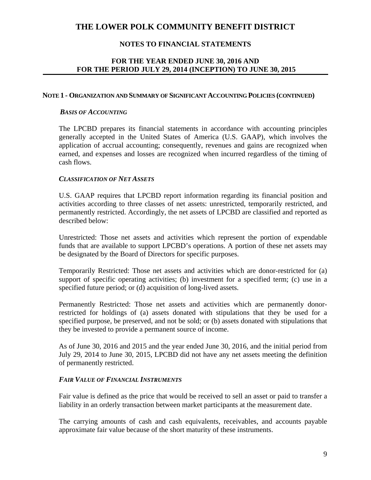# **NOTES TO FINANCIAL STATEMENTS**

## **FOR THE YEAR ENDED JUNE 30, 2016 AND FOR THE PERIOD JULY 29, 2014 (INCEPTION) TO JUNE 30, 2015**

#### **NOTE 1 - ORGANIZATION AND SUMMARY OF SIGNIFICANT ACCOUNTING POLICIES (CONTINUED)**

#### *BASIS OF ACCOUNTING*

The LPCBD prepares its financial statements in accordance with accounting principles generally accepted in the United States of America (U.S. GAAP), which involves the application of accrual accounting; consequently, revenues and gains are recognized when earned, and expenses and losses are recognized when incurred regardless of the timing of cash flows.

#### *CLASSIFICATION OF NET ASSETS*

U.S. GAAP requires that LPCBD report information regarding its financial position and activities according to three classes of net assets: unrestricted, temporarily restricted, and permanently restricted. Accordingly, the net assets of LPCBD are classified and reported as described below:

Unrestricted: Those net assets and activities which represent the portion of expendable funds that are available to support LPCBD's operations. A portion of these net assets may be designated by the Board of Directors for specific purposes.

Temporarily Restricted: Those net assets and activities which are donor-restricted for (a) support of specific operating activities; (b) investment for a specified term; (c) use in a specified future period; or (d) acquisition of long-lived assets.

Permanently Restricted: Those net assets and activities which are permanently donorrestricted for holdings of (a) assets donated with stipulations that they be used for a specified purpose, be preserved, and not be sold; or (b) assets donated with stipulations that they be invested to provide a permanent source of income.

As of June 30, 2016 and 2015 and the year ended June 30, 2016, and the initial period from July 29, 2014 to June 30, 2015, LPCBD did not have any net assets meeting the definition of permanently restricted.

#### *FAIR VALUE OF FINANCIAL INSTRUMENTS*

Fair value is defined as the price that would be received to sell an asset or paid to transfer a liability in an orderly transaction between market participants at the measurement date.

The carrying amounts of cash and cash equivalents, receivables, and accounts payable approximate fair value because of the short maturity of these instruments.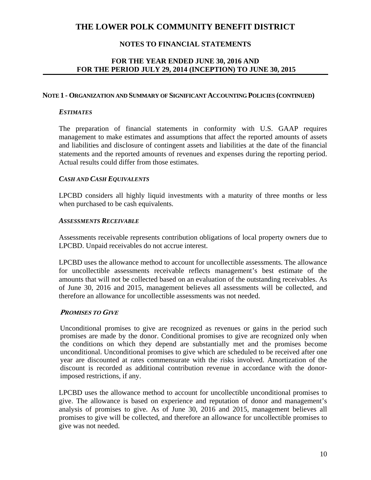# **NOTES TO FINANCIAL STATEMENTS**

## **FOR THE YEAR ENDED JUNE 30, 2016 AND FOR THE PERIOD JULY 29, 2014 (INCEPTION) TO JUNE 30, 2015**

#### **NOTE 1 - ORGANIZATION AND SUMMARY OF SIGNIFICANT ACCOUNTING POLICIES (CONTINUED)**

#### *ESTIMATES*

The preparation of financial statements in conformity with U.S. GAAP requires management to make estimates and assumptions that affect the reported amounts of assets and liabilities and disclosure of contingent assets and liabilities at the date of the financial statements and the reported amounts of revenues and expenses during the reporting period. Actual results could differ from those estimates.

#### *CASH AND CASH EQUIVALENTS*

LPCBD considers all highly liquid investments with a maturity of three months or less when purchased to be cash equivalents.

#### *ASSESSMENTS RECEIVABLE*

Assessments receivable represents contribution obligations of local property owners due to LPCBD. Unpaid receivables do not accrue interest.

LPCBD uses the allowance method to account for uncollectible assessments. The allowance for uncollectible assessments receivable reflects management's best estimate of the amounts that will not be collected based on an evaluation of the outstanding receivables. As of June 30, 2016 and 2015, management believes all assessments will be collected, and therefore an allowance for uncollectible assessments was not needed.

#### **PROMISES TO GIVE**

 Unconditional promises to give are recognized as revenues or gains in the period such promises are made by the donor. Conditional promises to give are recognized only when the conditions on which they depend are substantially met and the promises become unconditional. Unconditional promises to give which are scheduled to be received after one year are discounted at rates commensurate with the risks involved. Amortization of the discount is recorded as additional contribution revenue in accordance with the donorimposed restrictions, if any.

LPCBD uses the allowance method to account for uncollectible unconditional promises to give. The allowance is based on experience and reputation of donor and management's analysis of promises to give. As of June 30, 2016 and 2015, management believes all promises to give will be collected, and therefore an allowance for uncollectible promises to give was not needed.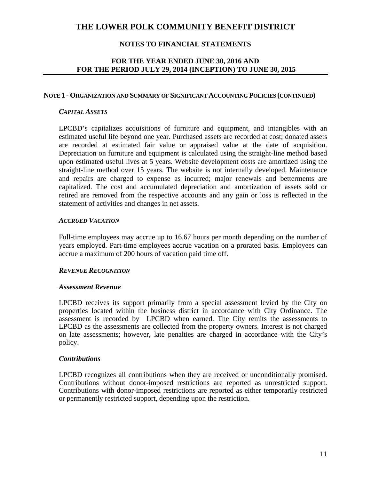# **NOTES TO FINANCIAL STATEMENTS**

## **FOR THE YEAR ENDED JUNE 30, 2016 AND FOR THE PERIOD JULY 29, 2014 (INCEPTION) TO JUNE 30, 2015**

#### **NOTE 1 - ORGANIZATION AND SUMMARY OF SIGNIFICANT ACCOUNTING POLICIES (CONTINUED)**

#### *CAPITAL ASSETS*

LPCBD's capitalizes acquisitions of furniture and equipment, and intangibles with an estimated useful life beyond one year. Purchased assets are recorded at cost; donated assets are recorded at estimated fair value or appraised value at the date of acquisition. Depreciation on furniture and equipment is calculated using the straight-line method based upon estimated useful lives at 5 years. Website development costs are amortized using the straight-line method over 15 years. The website is not internally developed. Maintenance and repairs are charged to expense as incurred; major renewals and betterments are capitalized. The cost and accumulated depreciation and amortization of assets sold or retired are removed from the respective accounts and any gain or loss is reflected in the statement of activities and changes in net assets.

#### *ACCRUED VACATION*

Full-time employees may accrue up to 16.67 hours per month depending on the number of years employed. Part-time employees accrue vacation on a prorated basis. Employees can accrue a maximum of 200 hours of vacation paid time off.

#### *REVENUE RECOGNITION*

#### *Assessment Revenue*

LPCBD receives its support primarily from a special assessment levied by the City on properties located within the business district in accordance with City Ordinance. The assessment is recorded by LPCBD when earned. The City remits the assessments to LPCBD as the assessments are collected from the property owners. Interest is not charged on late assessments; however, late penalties are charged in accordance with the City's policy.

## *Contributions*

LPCBD recognizes all contributions when they are received or unconditionally promised. Contributions without donor-imposed restrictions are reported as unrestricted support. Contributions with donor-imposed restrictions are reported as either temporarily restricted or permanently restricted support, depending upon the restriction.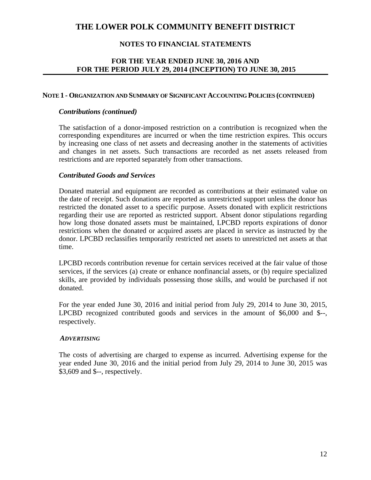# **NOTES TO FINANCIAL STATEMENTS**

## **FOR THE YEAR ENDED JUNE 30, 2016 AND FOR THE PERIOD JULY 29, 2014 (INCEPTION) TO JUNE 30, 2015**

#### **NOTE 1 - ORGANIZATION AND SUMMARY OF SIGNIFICANT ACCOUNTING POLICIES (CONTINUED)**

#### *Contributions (continued)*

The satisfaction of a donor-imposed restriction on a contribution is recognized when the corresponding expenditures are incurred or when the time restriction expires. This occurs by increasing one class of net assets and decreasing another in the statements of activities and changes in net assets. Such transactions are recorded as net assets released from restrictions and are reported separately from other transactions.

## *Contributed Goods and Services*

Donated material and equipment are recorded as contributions at their estimated value on the date of receipt. Such donations are reported as unrestricted support unless the donor has restricted the donated asset to a specific purpose. Assets donated with explicit restrictions regarding their use are reported as restricted support. Absent donor stipulations regarding how long those donated assets must be maintained, LPCBD reports expirations of donor restrictions when the donated or acquired assets are placed in service as instructed by the donor. LPCBD reclassifies temporarily restricted net assets to unrestricted net assets at that time.

LPCBD records contribution revenue for certain services received at the fair value of those services, if the services (a) create or enhance nonfinancial assets, or (b) require specialized skills, are provided by individuals possessing those skills, and would be purchased if not donated.

For the year ended June 30, 2016 and initial period from July 29, 2014 to June 30, 2015, LPCBD recognized contributed goods and services in the amount of \$6,000 and \$--, respectively.

#### *ADVERTISING*

The costs of advertising are charged to expense as incurred. Advertising expense for the year ended June 30, 2016 and the initial period from July 29, 2014 to June 30, 2015 was \$3,609 and \$--, respectively.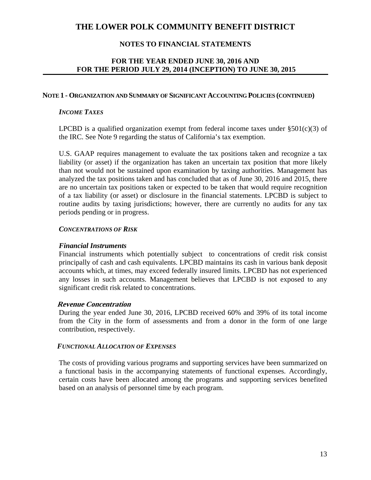## **NOTES TO FINANCIAL STATEMENTS**

## **FOR THE YEAR ENDED JUNE 30, 2016 AND FOR THE PERIOD JULY 29, 2014 (INCEPTION) TO JUNE 30, 2015**

#### **NOTE 1 - ORGANIZATION AND SUMMARY OF SIGNIFICANT ACCOUNTING POLICIES (CONTINUED)**

#### *INCOME TAXES*

LPCBD is a qualified organization exempt from federal income taxes under  $\S 501(c)(3)$  of the IRC. See Note 9 regarding the status of California's tax exemption.

U.S. GAAP requires management to evaluate the tax positions taken and recognize a tax liability (or asset) if the organization has taken an uncertain tax position that more likely than not would not be sustained upon examination by taxing authorities. Management has analyzed the tax positions taken and has concluded that as of June 30, 2016 and 2015, there are no uncertain tax positions taken or expected to be taken that would require recognition of a tax liability (or asset) or disclosure in the financial statements. LPCBD is subject to routine audits by taxing jurisdictions; however, there are currently no audits for any tax periods pending or in progress.

#### *CONCENTRATIONS OF RISK*

#### *Financial Instruments*

Financial instruments which potentially subject to concentrations of credit risk consist principally of cash and cash equivalents. LPCBD maintains its cash in various bank deposit accounts which, at times, may exceed federally insured limits. LPCBD has not experienced any losses in such accounts. Management believes that LPCBD is not exposed to any significant credit risk related to concentrations.

#### **Revenue Concentration**

During the year ended June 30, 2016, LPCBD received 60% and 39% of its total income from the City in the form of assessments and from a donor in the form of one large contribution, respectively.

## *FUNCTIONAL ALLOCATION OF EXPENSES*

The costs of providing various programs and supporting services have been summarized on a functional basis in the accompanying statements of functional expenses. Accordingly, certain costs have been allocated among the programs and supporting services benefited based on an analysis of personnel time by each program.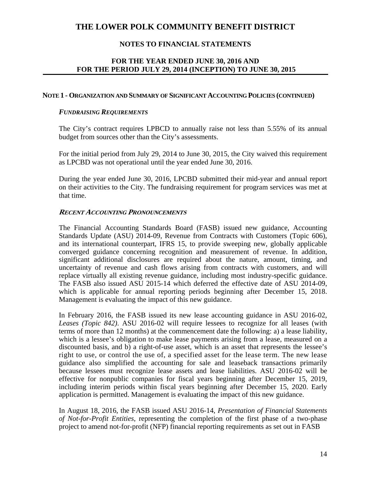# **NOTES TO FINANCIAL STATEMENTS**

## **FOR THE YEAR ENDED JUNE 30, 2016 AND FOR THE PERIOD JULY 29, 2014 (INCEPTION) TO JUNE 30, 2015**

#### **NOTE 1 - ORGANIZATION AND SUMMARY OF SIGNIFICANT ACCOUNTING POLICIES (CONTINUED)**

#### *FUNDRAISING REQUIREMENTS*

The City's contract requires LPBCD to annually raise not less than 5.55% of its annual budget from sources other than the City's assessments.

For the initial period from July 29, 2014 to June 30, 2015, the City waived this requirement as LPCBD was not operational until the year ended June 30, 2016.

During the year ended June 30, 2016, LPCBD submitted their mid-year and annual report on their activities to the City. The fundraising requirement for program services was met at that time.

## **RECENT ACCOUNTING PRONOUNCEMENTS**

The Financial Accounting Standards Board (FASB) issued new guidance, Accounting Standards Update (ASU) 2014-09, Revenue from Contracts with Customers (Topic 606), and its international counterpart, IFRS 15, to provide sweeping new, globally applicable converged guidance concerning recognition and measurement of revenue. In addition, significant additional disclosures are required about the nature, amount, timing, and uncertainty of revenue and cash flows arising from contracts with customers, and will replace virtually all existing revenue guidance, including most industry-specific guidance. The FASB also issued ASU 2015-14 which deferred the effective date of ASU 2014-09, which is applicable for annual reporting periods beginning after December 15, 2018. Management is evaluating the impact of this new guidance.

In February 2016, the FASB issued its new lease accounting guidance in ASU 2016-02, *Leases (Topic 842)*. ASU 2016-02 will require lessees to recognize for all leases (with terms of more than 12 months) at the commencement date the following: a) a lease liability, which is a lessee's obligation to make lease payments arising from a lease, measured on a discounted basis, and b) a right-of-use asset, which is an asset that represents the lessee's right to use, or control the use of, a specified asset for the lease term. The new lease guidance also simplified the accounting for sale and leaseback transactions primarily because lessees must recognize lease assets and lease liabilities. ASU 2016-02 will be effective for nonpublic companies for fiscal years beginning after December 15, 2019, including interim periods within fiscal years beginning after December 15, 2020. Early application is permitted. Management is evaluating the impact of this new guidance.

In August 18, 2016, the FASB issued ASU 2016-14, *Presentation of Financial Statements of Not-for-Profit Entities*, representing the completion of the first phase of a two-phase project to amend not-for-profit (NFP) financial reporting requirements as set out in FASB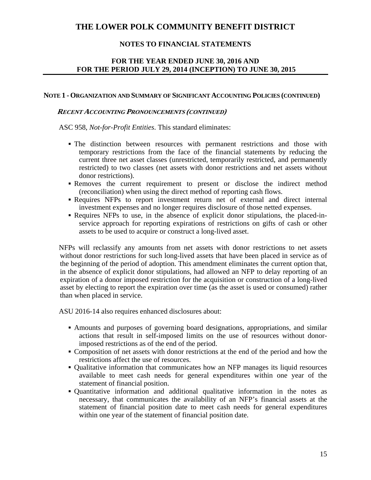# **NOTES TO FINANCIAL STATEMENTS**

## **FOR THE YEAR ENDED JUNE 30, 2016 AND FOR THE PERIOD JULY 29, 2014 (INCEPTION) TO JUNE 30, 2015**

#### **NOTE 1 - ORGANIZATION AND SUMMARY OF SIGNIFICANT ACCOUNTING POLICIES (CONTINUED)**

#### **RECENT ACCOUNTING PRONOUNCEMENTS (CONTINUED)**

ASC 958, *Not-for-Profit Entities*. This standard eliminates:

- The distinction between resources with permanent restrictions and those with temporary restrictions from the face of the financial statements by reducing the current three net asset classes (unrestricted, temporarily restricted, and permanently restricted) to two classes (net assets with donor restrictions and net assets without donor restrictions).
- Removes the current requirement to present or disclose the indirect method (reconciliation) when using the direct method of reporting cash flows.
- Requires NFPs to report investment return net of external and direct internal investment expenses and no longer requires disclosure of those netted expenses.
- Requires NFPs to use, in the absence of explicit donor stipulations, the placed-inservice approach for reporting expirations of restrictions on gifts of cash or other assets to be used to acquire or construct a long-lived asset.

 NFPs will reclassify any amounts from net assets with donor restrictions to net assets without donor restrictions for such long-lived assets that have been placed in service as of the beginning of the period of adoption. This amendment eliminates the current option that, in the absence of explicit donor stipulations, had allowed an NFP to delay reporting of an expiration of a donor imposed restriction for the acquisition or construction of a long-lived asset by electing to report the expiration over time (as the asset is used or consumed) rather than when placed in service.

ASU 2016-14 also requires enhanced disclosures about:

- Amounts and purposes of governing board designations, appropriations, and similar actions that result in self-imposed limits on the use of resources without donorimposed restrictions as of the end of the period.
- Composition of net assets with donor restrictions at the end of the period and how the restrictions affect the use of resources.
- Qualitative information that communicates how an NFP manages its liquid resources available to meet cash needs for general expenditures within one year of the statement of financial position.
- Quantitative information and additional qualitative information in the notes as necessary, that communicates the availability of an NFP's financial assets at the statement of financial position date to meet cash needs for general expenditures within one year of the statement of financial position date.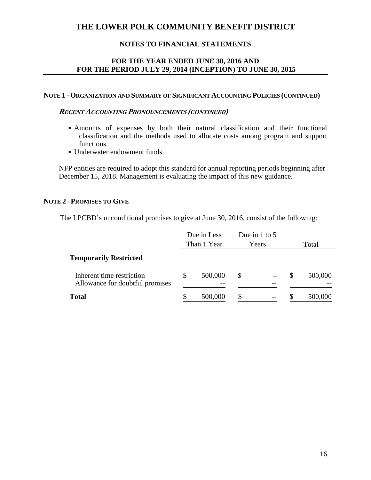# **NOTES TO FINANCIAL STATEMENTS**

# **FOR THE YEAR ENDED JUNE 30, 2016 AND FOR THE PERIOD JULY 29, 2014 (INCEPTION) TO JUNE 30, 2015**

#### **NOTE 1 - ORGANIZATION AND SUMMARY OF SIGNIFICANT ACCOUNTING POLICIES (CONTINUED)**

#### **RECENT ACCOUNTING PRONOUNCEMENTS (CONTINUED)**

- Amounts of expenses by both their natural classification and their functional classification and the methods used to allocate costs among program and support functions.
- Underwater endowment funds.

NFP entities are required to adopt this standard for annual reporting periods beginning after December 15, 2018. Management is evaluating the impact of this new guidance.

#### **NOTE 2 - PROMISES TO GIVE**

The LPCBD's unconditional promises to give at June 30, 2016, consist of the following:

|                                                              | Due in Less<br>Than 1 Year | Due in $1$ to $5$<br>Years |   | Total   |
|--------------------------------------------------------------|----------------------------|----------------------------|---|---------|
| <b>Temporarily Restricted</b>                                |                            |                            |   |         |
| Inherent time restriction<br>Allowance for doubtful promises | 500,000                    | \$<br>--                   | S | 500,000 |
| <b>Total</b>                                                 | 500,000                    | --                         |   | 500,000 |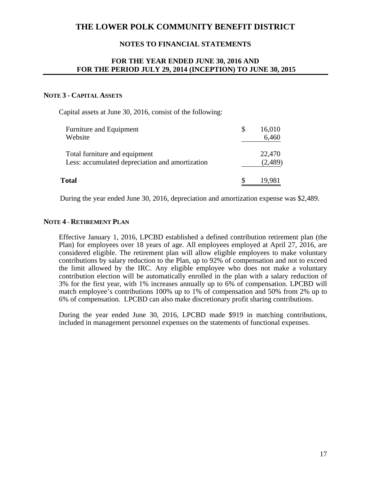## **NOTES TO FINANCIAL STATEMENTS**

### **FOR THE YEAR ENDED JUNE 30, 2016 AND FOR THE PERIOD JULY 29, 2014 (INCEPTION) TO JUNE 30, 2015**

#### **NOTE 3 - CAPITAL ASSETS**

Capital assets at June 30, 2016, consist of the following:

| Furniture and Equipment                         | 16,010  |
|-------------------------------------------------|---------|
| Website                                         | 6,460   |
| Total furniture and equipment                   | 22,470  |
| Less: accumulated depreciation and amortization | (2,489) |
| Total                                           | 19,981  |

During the year ended June 30, 2016, depreciation and amortization expense was \$2,489.

## **NOTE 4 - RETIREMENT PLAN**

Effective January 1, 2016, LPCBD established a defined contribution retirement plan (the Plan) for employees over 18 years of age. All employees employed at April 27, 2016, are considered eligible. The retirement plan will allow eligible employees to make voluntary contributions by salary reduction to the Plan, up to 92% of compensation and not to exceed the limit allowed by the IRC. Any eligible employee who does not make a voluntary contribution election will be automatically enrolled in the plan with a salary reduction of 3% for the first year, with 1% increases annually up to 6% of compensation. LPCBD will match employee's contributions 100% up to 1% of compensation and 50% from 2% up to 6% of compensation. LPCBD can also make discretionary profit sharing contributions.

During the year ended June 30, 2016, LPCBD made \$919 in matching contributions, included in management personnel expenses on the statements of functional expenses.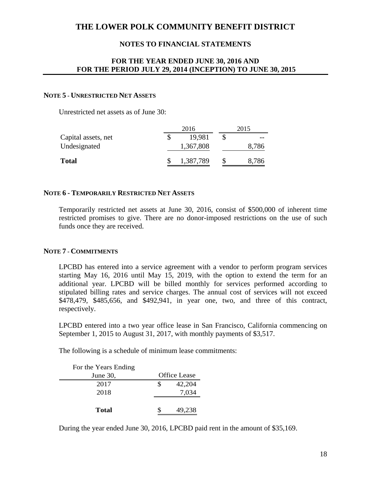# **NOTES TO FINANCIAL STATEMENTS**

## **FOR THE YEAR ENDED JUNE 30, 2016 AND FOR THE PERIOD JULY 29, 2014 (INCEPTION) TO JUNE 30, 2015**

#### **NOTE 5 - UNRESTRICTED NET ASSETS**

Unrestricted net assets as of June 30:

|                     | 2016 |           | 2015  |
|---------------------|------|-----------|-------|
| Capital assets, net |      | 19.981    |       |
| Undesignated        |      | 1,367,808 | 8,786 |
| <b>Total</b>        |      | 1,387,789 | 8,786 |

#### **NOTE 6 - TEMPORARILY RESTRICTED NET ASSETS**

 Temporarily restricted net assets at June 30, 2016, consist of \$500,000 of inherent time restricted promises to give. There are no donor-imposed restrictions on the use of such funds once they are received.

#### **NOTE 7 - COMMITMENTS**

LPCBD has entered into a service agreement with a vendor to perform program services starting May 16, 2016 until May 15, 2019, with the option to extend the term for an additional year. LPCBD will be billed monthly for services performed according to stipulated billing rates and service charges. The annual cost of services will not exceed \$478,479, \$485,656, and \$492,941, in year one, two, and three of this contract, respectively.

LPCBD entered into a two year office lease in San Francisco, California commencing on September 1, 2015 to August 31, 2017, with monthly payments of \$3,517.

The following is a schedule of minimum lease commitments:

| For the Years Ending |    |              |
|----------------------|----|--------------|
| June 30,             |    | Office Lease |
| 2017                 | S. | 42,204       |
| 2018                 |    | 7,034        |
|                      |    |              |
| <b>Total</b>         |    | 49,238       |

During the year ended June 30, 2016, LPCBD paid rent in the amount of \$35,169.